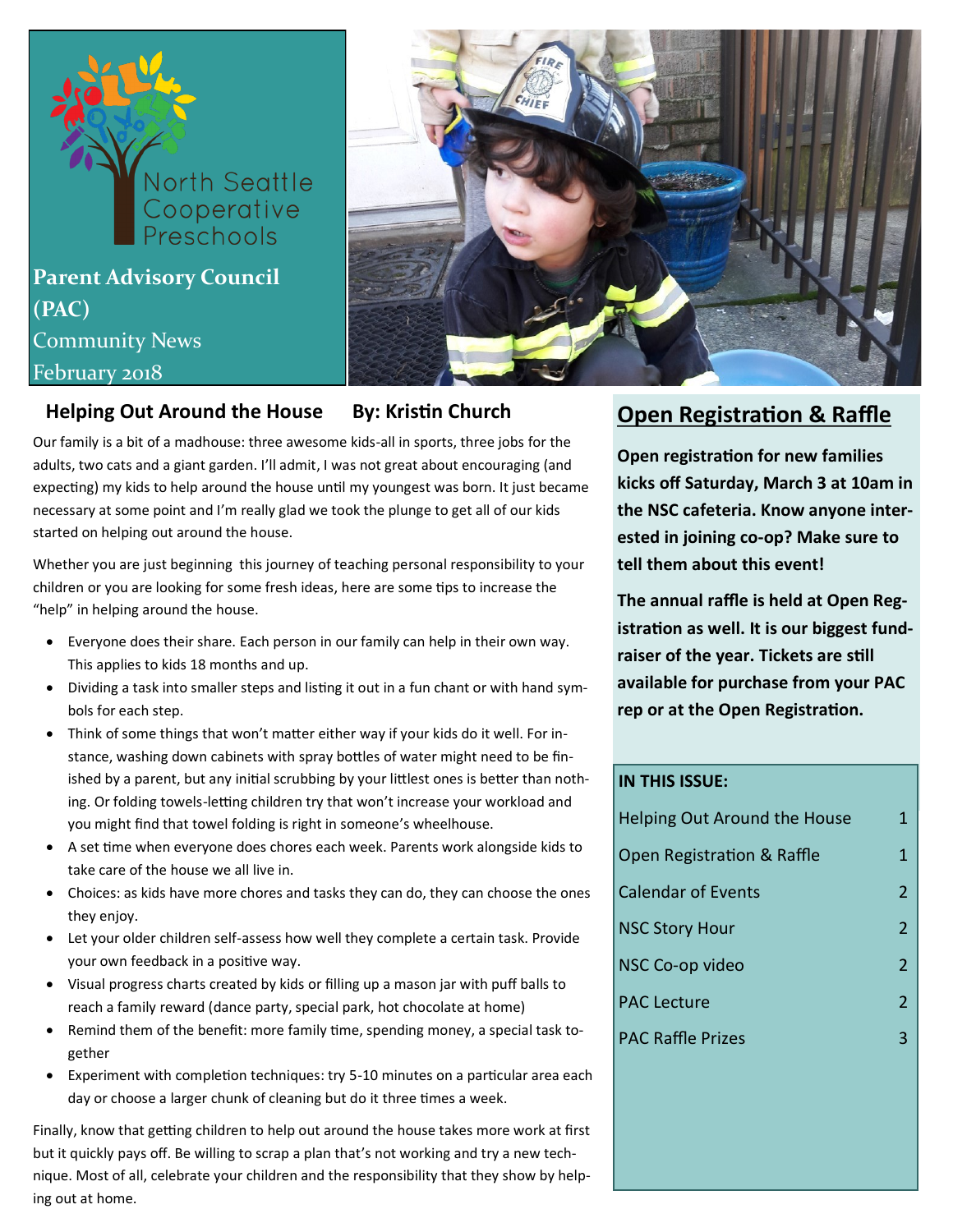# **North Seattle** Cooperative<br>Preschools **Parent Advisory Council (PAC)** Community News February 2018



Our family is a bit of a madhouse: three awesome kids-all in sports, three jobs for the adults, two cats and a giant garden. I'll admit, I was not great about encouraging (and expecting) my kids to help around the house until my youngest was born. It just became necessary at some point and I'm really glad we took the plunge to get all of our kids started on helping out around the house.

Whether you are just beginning this journey of teaching personal responsibility to your children or you are looking for some fresh ideas, here are some tips to increase the "help" in helping around the house.

- Everyone does their share. Each person in our family can help in their own way. This applies to kids 18 months and up.
- Dividing a task into smaller steps and listing it out in a fun chant or with hand symbols for each step.
- Think of some things that won't matter either way if your kids do it well. For instance, washing down cabinets with spray bottles of water might need to be finished by a parent, but any initial scrubbing by your littlest ones is better than nothing. Or folding towels-letting children try that won't increase your workload and you might find that towel folding is right in someone's wheelhouse.
- A set time when everyone does chores each week. Parents work alongside kids to take care of the house we all live in.
- Choices: as kids have more chores and tasks they can do, they can choose the ones they enjoy.
- Let your older children self-assess how well they complete a certain task. Provide your own feedback in a positive way.
- Visual progress charts created by kids or filling up a mason jar with puff balls to reach a family reward (dance party, special park, hot chocolate at home)
- Remind them of the benefit: more family time, spending money, a special task together
- Experiment with completion techniques: try 5-10 minutes on a particular area each day or choose a larger chunk of cleaning but do it three times a week.

Finally, know that getting children to help out around the house takes more work at first but it quickly pays off. Be willing to scrap a plan that's not working and try a new technique. Most of all, celebrate your children and the responsibility that they show by helping out at home.

#### **Helping Out Around the House** By: Kristin Church **Open Registration & Raffle**

**Open registration for new families kicks off Saturday, March 3 at 10am in the NSC cafeteria. Know anyone interested in joining co-op? Make sure to tell them about this event!**

**The annual raffle is held at Open Registration as well. It is our biggest fundraiser of the year. Tickets are still available for purchase from your PAC rep or at the Open Registration.** 

#### **IN THIS ISSUE:**

| Helping Out Around the House | 1              |
|------------------------------|----------------|
| Open Registration & Raffle   | 1              |
| <b>Calendar of Events</b>    | $\mathcal{P}$  |
| <b>NSC Story Hour</b>        | $\overline{2}$ |
| NSC Co-op video              | 2              |
| <b>PAC Lecture</b>           | $\mathcal{P}$  |
| <b>PAC Raffle Prizes</b>     | ς              |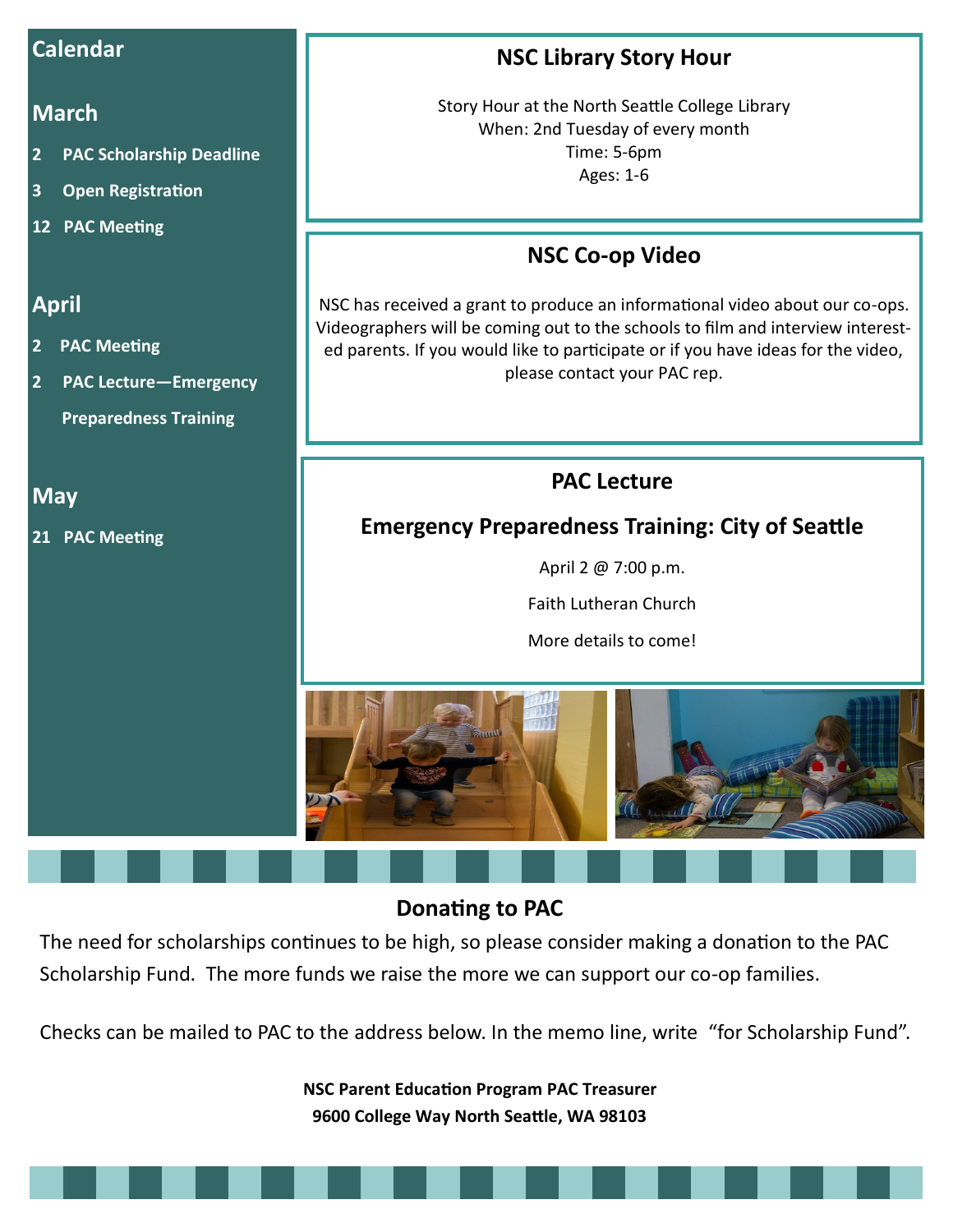#### **Calendar**

#### **March**

- **2 PAC Scholarship Deadline**
- **3 Open Registration**
- **12 PAC Meeting**

#### **April**

- **2 PAC Meeting**
- **2 PAC Lecture—Emergency Preparedness Training**

**May**

**21 PAC Meeting**

### **NSC Library Story Hour**

Story Hour at the North Seattle College Library When: 2nd Tuesday of every month Time: 5-6pm Ages: 1-6

### **NSC Co-op Video**

NSC has received a grant to produce an informational video about our co-ops. Videographers will be coming out to the schools to film and interview interested parents. If you would like to participate or if you have ideas for the video, please contact your PAC rep.

#### **PAC Lecture**

#### **Emergency Preparedness Training: City of Seattle**

April 2 @ 7:00 p.m.

Faith Lutheran Church

More details to come!



### **Donating to PAC**

The need for scholarships continues to be high, so please consider making a donation to the PAC Scholarship Fund. The more funds we raise the more we can support our co-op families.

Checks can be mailed to PAC to the address below. In the memo line, write "for Scholarship Fund".

**NSC Parent Education Program PAC Treasurer 9600 College Way North Seattle, WA 98103**